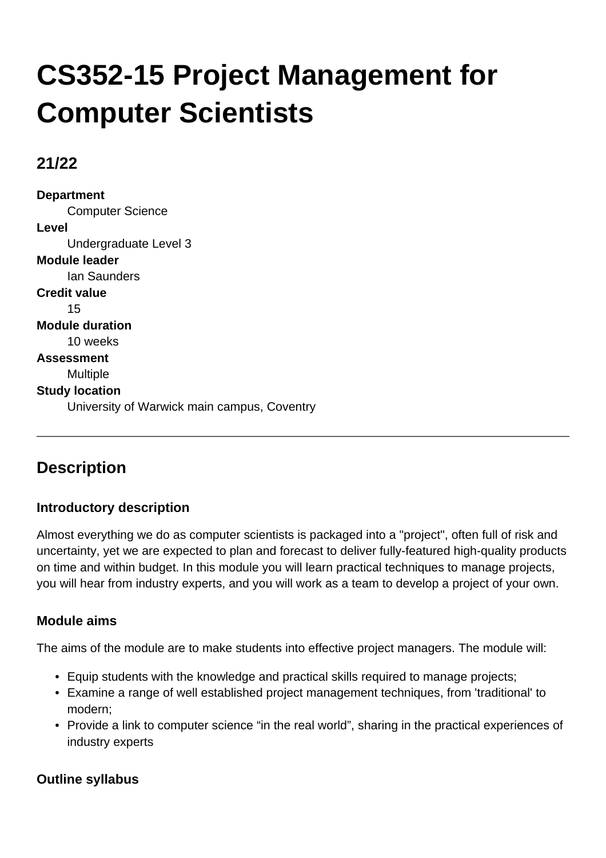# **CS352-15 Project Management for Computer Scientists**

## **21/22**

**Department** Computer Science **Level** Undergraduate Level 3 **Module leader** Ian Saunders **Credit value** 15 **Module duration** 10 weeks **Assessment** Multiple **Study location** University of Warwick main campus, Coventry

# **Description**

## **Introductory description**

Almost everything we do as computer scientists is packaged into a "project", often full of risk and uncertainty, yet we are expected to plan and forecast to deliver fully-featured high-quality products on time and within budget. In this module you will learn practical techniques to manage projects, you will hear from industry experts, and you will work as a team to develop a project of your own.

## **Module aims**

The aims of the module are to make students into effective project managers. The module will:

- Equip students with the knowledge and practical skills required to manage projects;
- Examine a range of well established project management techniques, from 'traditional' to modern;
- Provide a link to computer science "in the real world", sharing in the practical experiences of industry experts

## **Outline syllabus**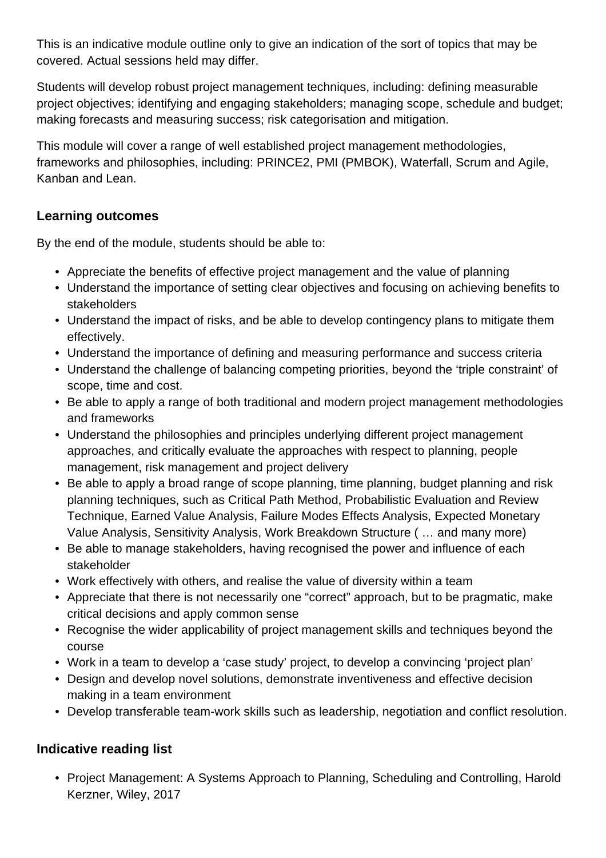This is an indicative module outline only to give an indication of the sort of topics that may be covered. Actual sessions held may differ.

Students will develop robust project management techniques, including: defining measurable project objectives; identifying and engaging stakeholders; managing scope, schedule and budget; making forecasts and measuring success; risk categorisation and mitigation.

This module will cover a range of well established project management methodologies, frameworks and philosophies, including: PRINCE2, PMI (PMBOK), Waterfall, Scrum and Agile, Kanban and Lean.

### **Learning outcomes**

By the end of the module, students should be able to:

- Appreciate the benefits of effective project management and the value of planning
- Understand the importance of setting clear objectives and focusing on achieving benefits to stakeholders
- Understand the impact of risks, and be able to develop contingency plans to mitigate them effectively.
- Understand the importance of defining and measuring performance and success criteria
- Understand the challenge of balancing competing priorities, beyond the 'triple constraint' of scope, time and cost.
- Be able to apply a range of both traditional and modern project management methodologies and frameworks
- Understand the philosophies and principles underlying different project management approaches, and critically evaluate the approaches with respect to planning, people management, risk management and project delivery
- Be able to apply a broad range of scope planning, time planning, budget planning and risk planning techniques, such as Critical Path Method, Probabilistic Evaluation and Review Technique, Earned Value Analysis, Failure Modes Effects Analysis, Expected Monetary Value Analysis, Sensitivity Analysis, Work Breakdown Structure ( … and many more)
- Be able to manage stakeholders, having recognised the power and influence of each stakeholder
- Work effectively with others, and realise the value of diversity within a team
- Appreciate that there is not necessarily one "correct" approach, but to be pragmatic, make critical decisions and apply common sense
- Recognise the wider applicability of project management skills and techniques beyond the course
- Work in a team to develop a 'case study' project, to develop a convincing 'project plan'
- Design and develop novel solutions, demonstrate inventiveness and effective decision making in a team environment
- Develop transferable team-work skills such as leadership, negotiation and conflict resolution.

## **Indicative reading list**

• Project Management: A Systems Approach to Planning, Scheduling and Controlling, Harold Kerzner, Wiley, 2017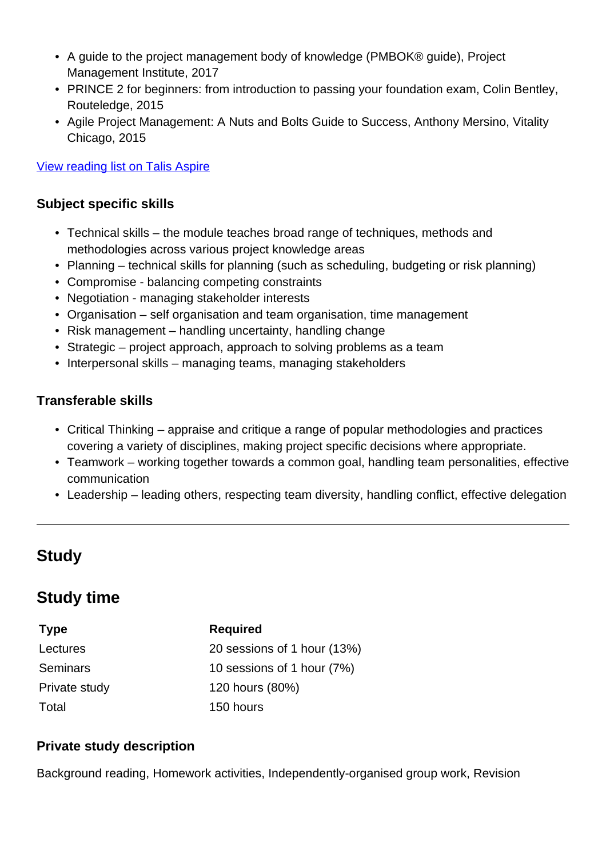- A guide to the project management body of knowledge (PMBOK® guide), Project Management Institute, 2017
- PRINCE 2 for beginners: from introduction to passing your foundation exam, Colin Bentley, Routeledge, 2015
- Agile Project Management: A Nuts and Bolts Guide to Success, Anthony Mersino, Vitality Chicago, 2015

[View reading list on Talis Aspire](http://readinglists.warwick.ac.uk/modules/cs352.html)

#### **Subject specific skills**

- Technical skills the module teaches broad range of techniques, methods and methodologies across various project knowledge areas
- Planning technical skills for planning (such as scheduling, budgeting or risk planning)
- Compromise balancing competing constraints
- Negotiation managing stakeholder interests
- Organisation self organisation and team organisation, time management
- Risk management handling uncertainty, handling change
- Strategic project approach, approach to solving problems as a team
- Interpersonal skills managing teams, managing stakeholders

#### **Transferable skills**

- Critical Thinking appraise and critique a range of popular methodologies and practices covering a variety of disciplines, making project specific decisions where appropriate.
- Teamwork working together towards a common goal, handling team personalities, effective communication
- Leadership leading others, respecting team diversity, handling conflict, effective delegation

## **Study**

## **Study time**

| <b>Type</b>     | <b>Required</b>             |
|-----------------|-----------------------------|
| Lectures        | 20 sessions of 1 hour (13%) |
| <b>Seminars</b> | 10 sessions of 1 hour (7%)  |
| Private study   | 120 hours (80%)             |
| Total           | 150 hours                   |

#### **Private study description**

Background reading, Homework activities, Independently-organised group work, Revision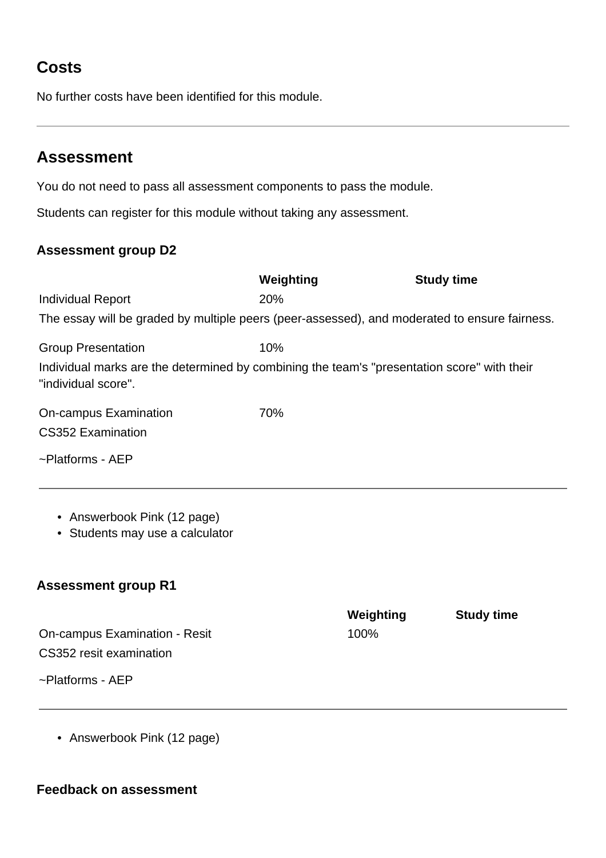# **Costs**

No further costs have been identified for this module.

## **Assessment**

You do not need to pass all assessment components to pass the module.

Students can register for this module without taking any assessment.

### **Assessment group D2**

|                                                                                                                    | Weighting | <b>Study time</b> |
|--------------------------------------------------------------------------------------------------------------------|-----------|-------------------|
| <b>Individual Report</b>                                                                                           | 20%       |                   |
| The essay will be graded by multiple peers (peer-assessed), and moderated to ensure fairness.                      |           |                   |
| <b>Group Presentation</b>                                                                                          | 10%       |                   |
| Individual marks are the determined by combining the team's "presentation score" with their<br>"individual score". |           |                   |
| On-campus Examination<br><b>CS352 Examination</b>                                                                  | 70%       |                   |
| $\sim$ Platforms - AEP                                                                                             |           |                   |

- Answerbook Pink (12 page)
- Students may use a calculator

## **Assessment group R1**

|                               | Weighting | <b>Study time</b> |
|-------------------------------|-----------|-------------------|
| On-campus Examination - Resit | $100\%$   |                   |
| CS352 resit examination       |           |                   |
| $\sim$ Platforms - AEP        |           |                   |

• Answerbook Pink (12 page)

#### **Feedback on assessment**